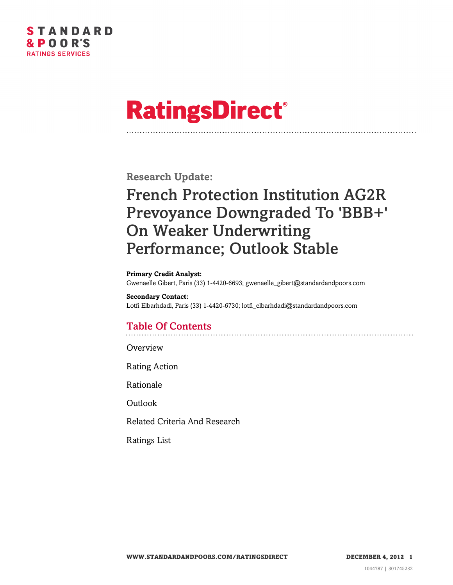

# **RatingsDirect®**

**Research Update:**

# French Protection Institution AG2R Prevoyance Downgraded To 'BBB+' On Weaker Underwriting Performance; Outlook Stable

#### **Primary Credit Analyst:**

Gwenaelle Gibert, Paris (33) 1-4420-6693; gwenaelle\_gibert@standardandpoors.com

#### **Secondary Contact:**

Lotfi Elbarhdadi, Paris (33) 1-4420-6730; lotfi\_elbarhdadi@standardandpoors.com

## Table Of Contents

**[Overview](#page-1-0)** 

[Rating Action](#page-1-1)

[Rationale](#page-1-2)

[Outlook](#page-2-0)

[Related Criteria And Research](#page-2-1)

[Ratings List](#page-3-0)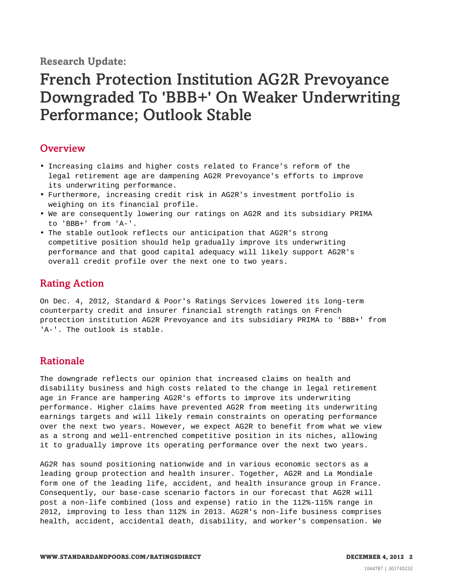**Research Update:**

# French Protection Institution AG2R Prevoyance Downgraded To 'BBB+' On Weaker Underwriting Performance; Outlook Stable

#### <span id="page-1-0"></span>**Overview**

- Increasing claims and higher costs related to France's reform of the legal retirement age are dampening AG2R Prevoyance's efforts to improve its underwriting performance.
- Furthermore, increasing credit risk in AG2R's investment portfolio is weighing on its financial profile.
- We are consequently lowering our ratings on AG2R and its subsidiary PRIMA to 'BBB+' from 'A-'.
- The stable outlook reflects our anticipation that AG2R's strong competitive position should help gradually improve its underwriting performance and that good capital adequacy will likely support AG2R's overall credit profile over the next one to two years.

### <span id="page-1-1"></span>Rating Action

On Dec. 4, 2012, Standard & Poor's Ratings Services lowered its long-term counterparty credit and insurer financial strength ratings on French protection institution AG2R Prevoyance and its subsidiary PRIMA to 'BBB+' from 'A-'. The outlook is stable.

#### <span id="page-1-2"></span>Rationale

The downgrade reflects our opinion that increased claims on health and disability business and high costs related to the change in legal retirement age in France are hampering AG2R's efforts to improve its underwriting performance. Higher claims have prevented AG2R from meeting its underwriting earnings targets and will likely remain constraints on operating performance over the next two years. However, we expect AG2R to benefit from what we view as a strong and well-entrenched competitive position in its niches, allowing it to gradually improve its operating performance over the next two years.

AG2R has sound positioning nationwide and in various economic sectors as a leading group protection and health insurer. Together, AG2R and La Mondiale form one of the leading life, accident, and health insurance group in France. Consequently, our base-case scenario factors in our forecast that AG2R will post a non-life combined (loss and expense) ratio in the 112%-115% range in 2012, improving to less than 112% in 2013. AG2R's non-life business comprises health, accident, accidental death, disability, and worker's compensation. We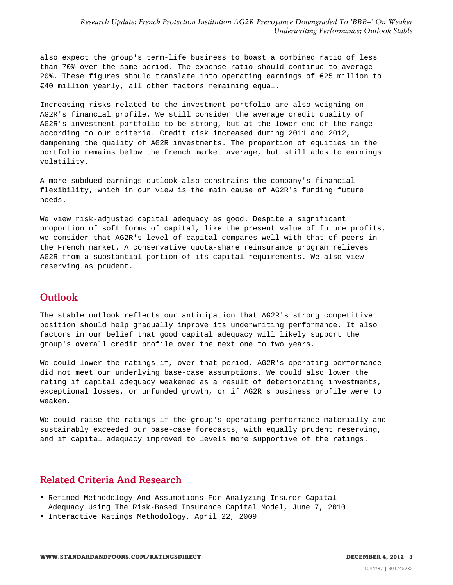also expect the group's term-life business to boast a combined ratio of less than 70% over the same period. The expense ratio should continue to average 20%. These figures should translate into operating earnings of €25 million to €40 million yearly, all other factors remaining equal.

Increasing risks related to the investment portfolio are also weighing on AG2R's financial profile. We still consider the average credit quality of AG2R's investment portfolio to be strong, but at the lower end of the range according to our criteria. Credit risk increased during 2011 and 2012, dampening the quality of AG2R investments. The proportion of equities in the portfolio remains below the French market average, but still adds to earnings volatility.

A more subdued earnings outlook also constrains the company's financial flexibility, which in our view is the main cause of AG2R's funding future needs.

We view risk-adjusted capital adequacy as good. Despite a significant proportion of soft forms of capital, like the present value of future profits, we consider that AG2R's level of capital compares well with that of peers in the French market. A conservative quota-share reinsurance program relieves AG2R from a substantial portion of its capital requirements. We also view reserving as prudent.

### <span id="page-2-0"></span>**Outlook**

The stable outlook reflects our anticipation that AG2R's strong competitive position should help gradually improve its underwriting performance. It also factors in our belief that good capital adequacy will likely support the group's overall credit profile over the next one to two years.

We could lower the ratings if, over that period, AG2R's operating performance did not meet our underlying base-case assumptions. We could also lower the rating if capital adequacy weakened as a result of deteriorating investments, exceptional losses, or unfunded growth, or if AG2R's business profile were to weaken.

We could raise the ratings if the group's operating performance materially and sustainably exceeded our base-case forecasts, with equally prudent reserving, and if capital adequacy improved to levels more supportive of the ratings.

#### <span id="page-2-1"></span>Related Criteria And Research

- Refined Methodology And Assumptions For Analyzing Insurer Capital Adequacy Using The Risk-Based Insurance Capital Model, June 7, 2010
- Interactive Ratings Methodology, April 22, 2009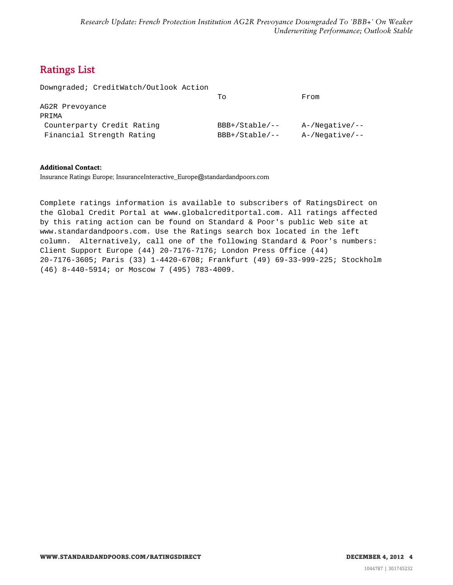### <span id="page-3-0"></span>Ratings List

|  | Downgraded; CreditWatch/Outlook Action |  |
|--|----------------------------------------|--|
|--|----------------------------------------|--|

|                            | Ͳი                  | From           |
|----------------------------|---------------------|----------------|
| AG2R Prevoyance            |                     |                |
| PRIMA                      |                     |                |
| Counterparty Credit Rating | $BBB+ /Stable / --$ | A-/Negative/-- |
| Financial Strength Rating  | $BBB+ /Stable / --$ | A-/Negative/-- |

#### **Additional Contact:**

Insurance Ratings Europe; InsuranceInteractive\_Europe@standardandpoors.com

Complete ratings information is available to subscribers of RatingsDirect on the Global Credit Portal at www.globalcreditportal.com. All ratings affected by this rating action can be found on Standard & Poor's public Web site at www.standardandpoors.com. Use the Ratings search box located in the left column. Alternatively, call one of the following Standard & Poor's numbers: Client Support Europe (44) 20-7176-7176; London Press Office (44) 20-7176-3605; Paris (33) 1-4420-6708; Frankfurt (49) 69-33-999-225; Stockholm (46) 8-440-5914; or Moscow 7 (495) 783-4009.